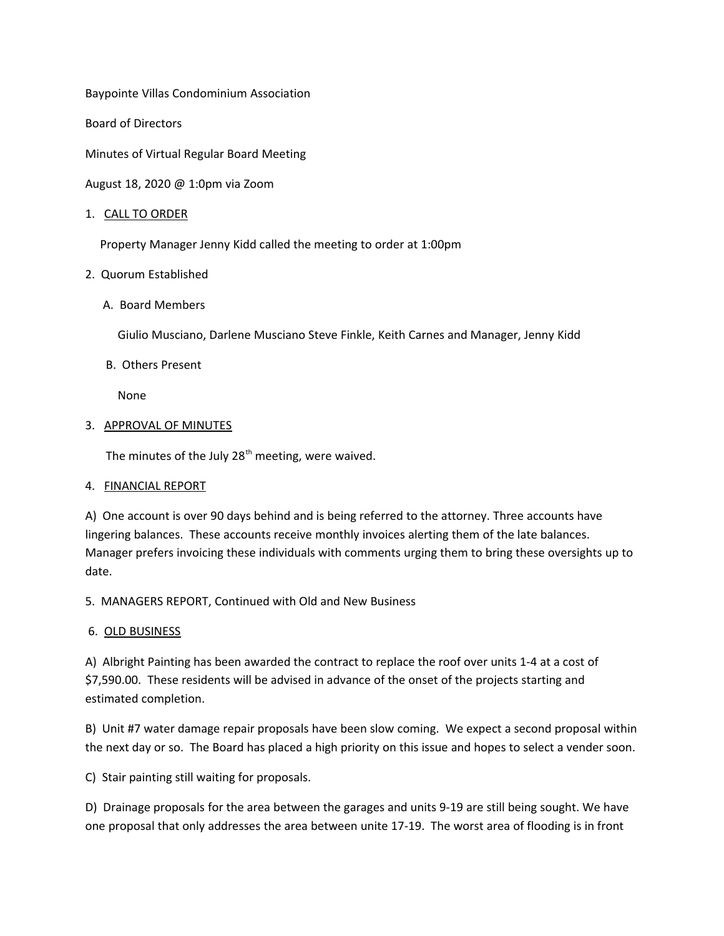Baypointe Villas Condominium Association

Board of Directors

Minutes of Virtual Regular Board Meeting

August 18, 2020 @ 1:0pm via Zoom

### 1. CALL TO ORDER

Property Manager Jenny Kidd called the meeting to order at 1:00pm

## 2. Quorum Established

A. Board Members

Giulio Musciano, Darlene Musciano Steve Finkle, Keith Carnes and Manager, Jenny Kidd

## B. Others Present

None

## 3. APPROVAL OF MINUTES

The minutes of the July  $28<sup>th</sup>$  meeting, were waived.

# 4. FINANCIAL REPORT

A) One account is over 90 days behind and is being referred to the attorney. Three accounts have lingering balances. These accounts receive monthly invoices alerting them of the late balances. Manager prefers invoicing these individuals with comments urging them to bring these oversights up to date.

5. MANAGERS REPORT, Continued with Old and New Business

# 6. OLD BUSINESS

A) Albright Painting has been awarded the contract to replace the roof over units 1-4 at a cost of \$7,590.00. These residents will be advised in advance of the onset of the projects starting and estimated completion.

B) Unit #7 water damage repair proposals have been slow coming. We expect a second proposal within the next day or so. The Board has placed a high priority on this issue and hopes to select a vender soon.

C) Stair painting still waiting for proposals.

D) Drainage proposals for the area between the garages and units 9-19 are still being sought. We have one proposal that only addresses the area between unite 17-19. The worst area of flooding is in front